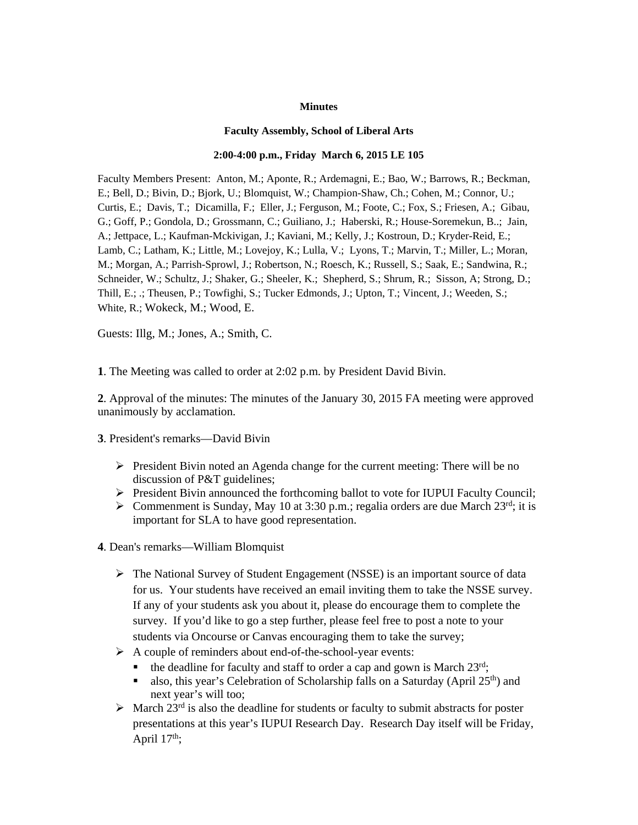## **Minutes**

## **Faculty Assembly, School of Liberal Arts**

## **2:00-4:00 p.m., Friday March 6, 2015 LE 105**

Faculty Members Present: Anton, M.; Aponte, R.; Ardemagni, E.; Bao, W.; Barrows, R.; Beckman, E.; Bell, D.; Bivin, D.; Bjork, U.; Blomquist, W.; Champion-Shaw, Ch.; Cohen, M.; Connor, U.; Curtis, E.; Davis, T.; Dicamilla, F.; Eller, J.; Ferguson, M.; Foote, C.; Fox, S.; Friesen, A.; Gibau, G.; Goff, P.; Gondola, D.; Grossmann, C.; Guiliano, J.; Haberski, R.; House-Soremekun, B..; Jain, A.; Jettpace, L.; Kaufman-Mckivigan, J.; Kaviani, M.; Kelly, J.; Kostroun, D.; Kryder-Reid, E.; Lamb, C.; Latham, K.; Little, M.; Lovejoy, K.; Lulla, V.; Lyons, T.; Marvin, T.; Miller, L.; Moran, M.; Morgan, A.; Parrish-Sprowl, J.; Robertson, N.; Roesch, K.; Russell, S.; Saak, E.; Sandwina, R.; Schneider, W.; Schultz, J.; Shaker, G.; Sheeler, K.; Shepherd, S.; Shrum, R.; Sisson, A; Strong, D.; Thill, E.; .; Theusen, P.; Towfighi, S.; Tucker Edmonds, J.; Upton, T.; Vincent, J.; Weeden, S.; White, R.; Wokeck, M.; Wood, E.

Guests: Illg, M.; Jones, A.; Smith, C.

**1**. The Meeting was called to order at 2:02 p.m. by President David Bivin.

**2**. Approval of the minutes: The minutes of the January 30, 2015 FA meeting were approved unanimously by acclamation.

- **3**. President's remarks—David Bivin
	- $\triangleright$  President Bivin noted an Agenda change for the current meeting: There will be no discussion of P&T guidelines;
	- $\triangleright$  President Bivin announced the forthcoming ballot to vote for IUPUI Faculty Council;
	- $\triangleright$  Commenment is Sunday, May 10 at 3:30 p.m.; regalia orders are due March 23<sup>rd</sup>; it is important for SLA to have good representation.
- **4**. Dean's remarks—William Blomquist
	- $\triangleright$  The National Survey of Student Engagement (NSSE) is an important source of data for us. Your students have received an email inviting them to take the NSSE survey. If any of your students ask you about it, please do encourage them to complete the survey. If you'd like to go a step further, please feel free to post a note to your students via Oncourse or Canvas encouraging them to take the survey;
	- $\triangleright$  A couple of reminders about end-of-the-school-year events:
		- $\bullet$  the deadline for faculty and staff to order a cap and gown is March  $23^{\text{rd}}$ ;
		- also, this year's Celebration of Scholarship falls on a Saturday (April  $25<sup>th</sup>$ ) and next year's will too;
	- $\triangleright$  March 23<sup>rd</sup> is also the deadline for students or faculty to submit abstracts for poster presentations at this year's IUPUI Research Day. Research Day itself will be Friday, April  $17<sup>th</sup>$ ;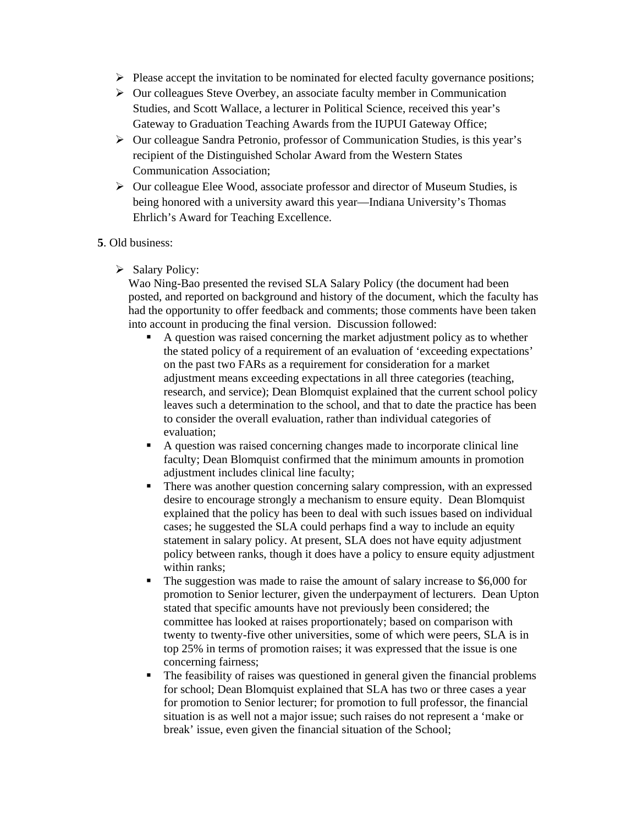- $\triangleright$  Please accept the invitation to be nominated for elected faculty governance positions;
- $\triangleright$  Our colleagues Steve Overbey, an associate faculty member in Communication Studies, and Scott Wallace, a lecturer in Political Science, received this year's Gateway to Graduation Teaching Awards from the IUPUI Gateway Office;
- $\triangleright$  Our colleague Sandra Petronio, professor of Communication Studies, is this year's recipient of the Distinguished Scholar Award from the Western States Communication Association;
- Our colleague Elee Wood, associate professor and director of Museum Studies, is being honored with a university award this year—Indiana University's Thomas Ehrlich's Award for Teaching Excellence.

## **5**. Old business:

 $\triangleright$  Salary Policy:

Wao Ning-Bao presented the revised SLA Salary Policy (the document had been posted, and reported on background and history of the document, which the faculty has had the opportunity to offer feedback and comments; those comments have been taken into account in producing the final version. Discussion followed:

- A question was raised concerning the market adjustment policy as to whether the stated policy of a requirement of an evaluation of 'exceeding expectations' on the past two FARs as a requirement for consideration for a market adjustment means exceeding expectations in all three categories (teaching, research, and service); Dean Blomquist explained that the current school policy leaves such a determination to the school, and that to date the practice has been to consider the overall evaluation, rather than individual categories of evaluation;
- A question was raised concerning changes made to incorporate clinical line faculty; Dean Blomquist confirmed that the minimum amounts in promotion adjustment includes clinical line faculty;
- There was another question concerning salary compression, with an expressed desire to encourage strongly a mechanism to ensure equity. Dean Blomquist explained that the policy has been to deal with such issues based on individual cases; he suggested the SLA could perhaps find a way to include an equity statement in salary policy. At present, SLA does not have equity adjustment policy between ranks, though it does have a policy to ensure equity adjustment within ranks;
- The suggestion was made to raise the amount of salary increase to \$6,000 for promotion to Senior lecturer, given the underpayment of lecturers. Dean Upton stated that specific amounts have not previously been considered; the committee has looked at raises proportionately; based on comparison with twenty to twenty-five other universities, some of which were peers, SLA is in top 25% in terms of promotion raises; it was expressed that the issue is one concerning fairness;
- The feasibility of raises was questioned in general given the financial problems for school; Dean Blomquist explained that SLA has two or three cases a year for promotion to Senior lecturer; for promotion to full professor, the financial situation is as well not a major issue; such raises do not represent a 'make or break' issue, even given the financial situation of the School;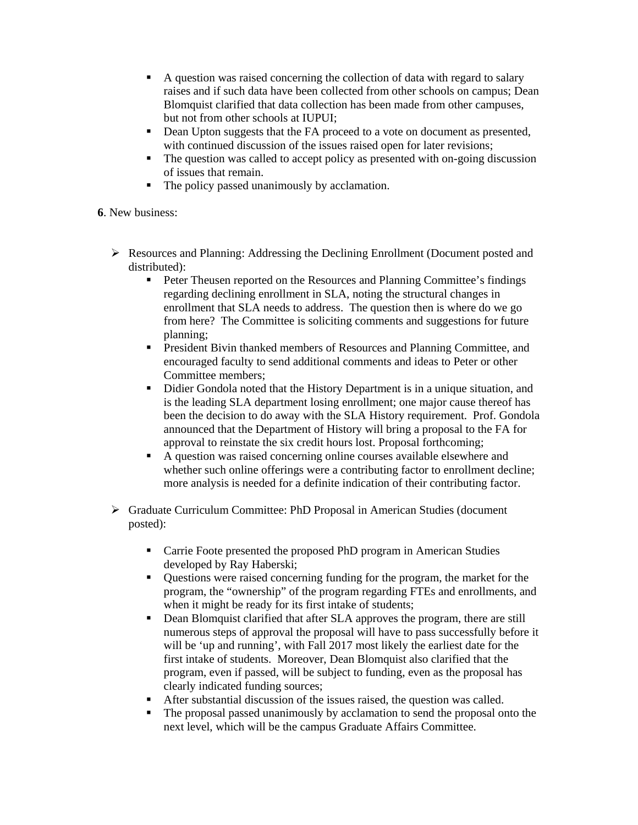- A question was raised concerning the collection of data with regard to salary raises and if such data have been collected from other schools on campus; Dean Blomquist clarified that data collection has been made from other campuses, but not from other schools at IUPUI;
- Dean Upton suggests that the FA proceed to a vote on document as presented, with continued discussion of the issues raised open for later revisions;
- The question was called to accept policy as presented with on-going discussion of issues that remain.
- The policy passed unanimously by acclamation.

**6**. New business:

- $\triangleright$  Resources and Planning: Addressing the Declining Enrollment (Document posted and distributed):
	- **Peter Theusen reported on the Resources and Planning Committee's findings** regarding declining enrollment in SLA, noting the structural changes in enrollment that SLA needs to address. The question then is where do we go from here? The Committee is soliciting comments and suggestions for future planning;
	- **President Bivin thanked members of Resources and Planning Committee, and** encouraged faculty to send additional comments and ideas to Peter or other Committee members;
	- Didier Gondola noted that the History Department is in a unique situation, and is the leading SLA department losing enrollment; one major cause thereof has been the decision to do away with the SLA History requirement. Prof. Gondola announced that the Department of History will bring a proposal to the FA for approval to reinstate the six credit hours lost. Proposal forthcoming;
	- A question was raised concerning online courses available elsewhere and whether such online offerings were a contributing factor to enrollment decline; more analysis is needed for a definite indication of their contributing factor.
- Graduate Curriculum Committee: PhD Proposal in American Studies (document posted):
	- Carrie Foote presented the proposed PhD program in American Studies developed by Ray Haberski;
	- Questions were raised concerning funding for the program, the market for the program, the "ownership" of the program regarding FTEs and enrollments, and when it might be ready for its first intake of students;
	- Dean Blomquist clarified that after SLA approves the program, there are still numerous steps of approval the proposal will have to pass successfully before it will be 'up and running', with Fall 2017 most likely the earliest date for the first intake of students. Moreover, Dean Blomquist also clarified that the program, even if passed, will be subject to funding, even as the proposal has clearly indicated funding sources;
	- After substantial discussion of the issues raised, the question was called.
	- The proposal passed unanimously by acclamation to send the proposal onto the next level, which will be the campus Graduate Affairs Committee.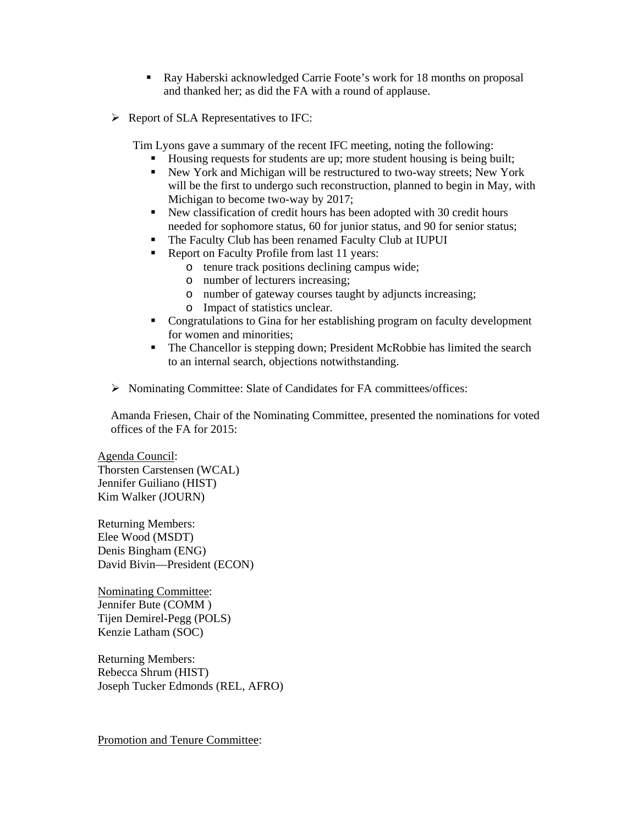- Ray Haberski acknowledged Carrie Foote's work for 18 months on proposal and thanked her; as did the FA with a round of applause.
- $\triangleright$  Report of SLA Representatives to IFC:

Tim Lyons gave a summary of the recent IFC meeting, noting the following:

- Housing requests for students are up; more student housing is being built;
- New York and Michigan will be restructured to two-way streets; New York will be the first to undergo such reconstruction, planned to begin in May, with Michigan to become two-way by 2017;
- New classification of credit hours has been adopted with 30 credit hours needed for sophomore status, 60 for junior status, and 90 for senior status;
- The Faculty Club has been renamed Faculty Club at IUPUI
- Report on Faculty Profile from last 11 years:
	- o tenure track positions declining campus wide;
	- o number of lecturers increasing;
	- o number of gateway courses taught by adjuncts increasing;
	- o Impact of statistics unclear.
- Congratulations to Gina for her establishing program on faculty development for women and minorities;
- The Chancellor is stepping down; President McRobbie has limited the search to an internal search, objections notwithstanding.
- Nominating Committee: Slate of Candidates for FA committees/offices:

Amanda Friesen, Chair of the Nominating Committee, presented the nominations for voted offices of the FA for 2015:

Agenda Council: Thorsten Carstensen (WCAL) Jennifer Guiliano (HIST) Kim Walker (JOURN)

Returning Members: Elee Wood (MSDT) Denis Bingham (ENG) David Bivin—President (ECON)

Nominating Committee: Jennifer Bute (COMM ) Tijen Demirel-Pegg (POLS) Kenzie Latham (SOC)

Returning Members: Rebecca Shrum (HIST) Joseph Tucker Edmonds (REL, AFRO)

Promotion and Tenure Committee: